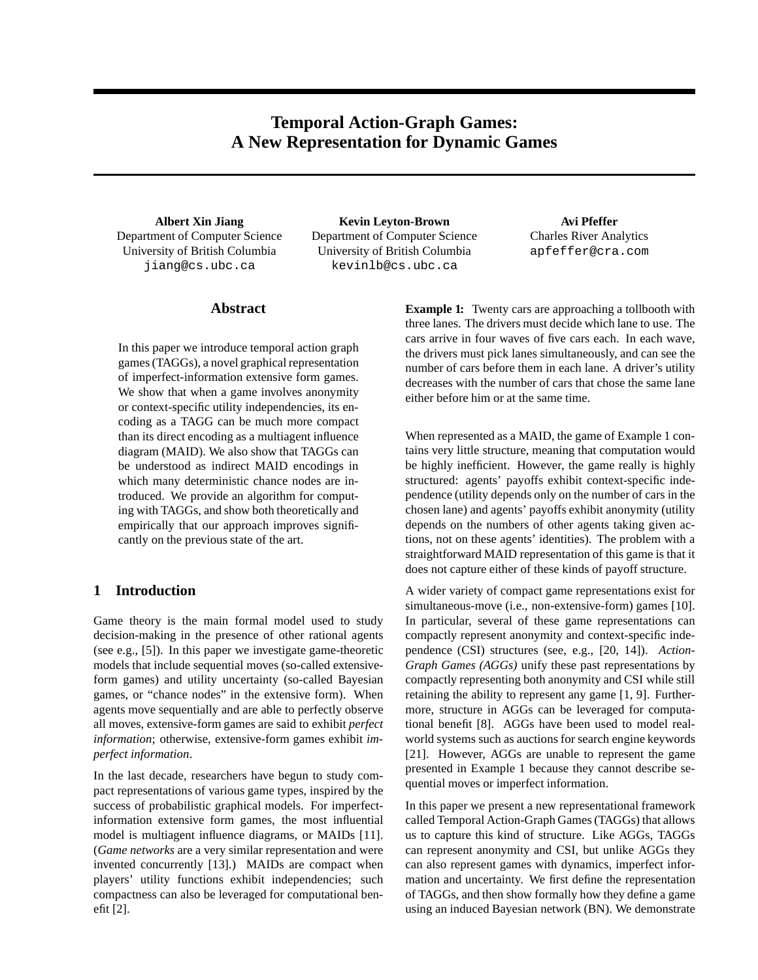# **Temporal Action-Graph Games: A New Representation for Dynamic Games**

**Albert Xin Jiang** Department of Computer Science University of British Columbia jiang@cs.ubc.ca

**Kevin Leyton-Brown** Department of Computer Science University of British Columbia kevinlb@cs.ubc.ca

**Avi Pfeffer** Charles River Analytics apfeffer@cra.com

# **Abstract**

In this paper we introduce temporal action graph games (TAGGs), a novel graphical representation of imperfect-information extensive form games. We show that when a game involves anonymity or context-specific utility independencies, its encoding as a TAGG can be much more compact than its direct encoding as a multiagent influence diagram (MAID). We also show that TAGGs can be understood as indirect MAID encodings in which many deterministic chance nodes are introduced. We provide an algorithm for computing with TAGGs, and show both theoretically and empirically that our approach improves significantly on the previous state of the art.

# **1 Introduction**

Game theory is the main formal model used to study decision-making in the presence of other rational agents (see e.g., [5]). In this paper we investigate game-theoretic models that include sequential moves (so-called extensiveform games) and utility uncertainty (so-called Bayesian games, or "chance nodes" in the extensive form). When agents move sequentially and are able to perfectly observe all moves, extensive-form games are said to exhibit *perfect information*; otherwise, extensive-form games exhibit *imperfect information*.

In the last decade, researchers have begun to study compact representations of various game types, inspired by the success of probabilistic graphical models. For imperfectinformation extensive form games, the most influential model is multiagent influence diagrams, or MAIDs [11]. (*Game networks* are a very similar representation and were invented concurrently [13].) MAIDs are compact when players' utility functions exhibit independencies; such compactness can also be leveraged for computational benefit [2].

**Example 1:** Twenty cars are approaching a tollbooth with three lanes. The drivers must decide which lane to use. The cars arrive in four waves of five cars each. In each wave, the drivers must pick lanes simultaneously, and can see the number of cars before them in each lane. A driver's utility decreases with the number of cars that chose the same lane either before him or at the same time.

When represented as a MAID, the game of Example 1 contains very little structure, meaning that computation would be highly inefficient. However, the game really is highly structured: agents' payoffs exhibit context-specific independence (utility depends only on the number of cars in the chosen lane) and agents' payoffs exhibit anonymity (utility depends on the numbers of other agents taking given actions, not on these agents' identities). The problem with a straightforward MAID representation of this game is that it does not capture either of these kinds of payoff structure.

A wider variety of compact game representations exist for simultaneous-move (i.e., non-extensive-form) games [10]. In particular, several of these game representations can compactly represent anonymity and context-specific independence (CSI) structures (see, e.g., [20, 14]). *Action-Graph Games (AGGs)* unify these past representations by compactly representing both anonymity and CSI while still retaining the ability to represent any game [1, 9]. Furthermore, structure in AGGs can be leveraged for computational benefit [8]. AGGs have been used to model realworld systems such as auctions for search engine keywords [21]. However, AGGs are unable to represent the game presented in Example 1 because they cannot describe sequential moves or imperfect information.

In this paper we present a new representational framework called Temporal Action-Graph Games (TAGGs) that allows us to capture this kind of structure. Like AGGs, TAGGs can represent anonymity and CSI, but unlike AGGs they can also represent games with dynamics, imperfect information and uncertainty. We first define the representation of TAGGs, and then show formally how they define a game using an induced Bayesian network (BN). We demonstrate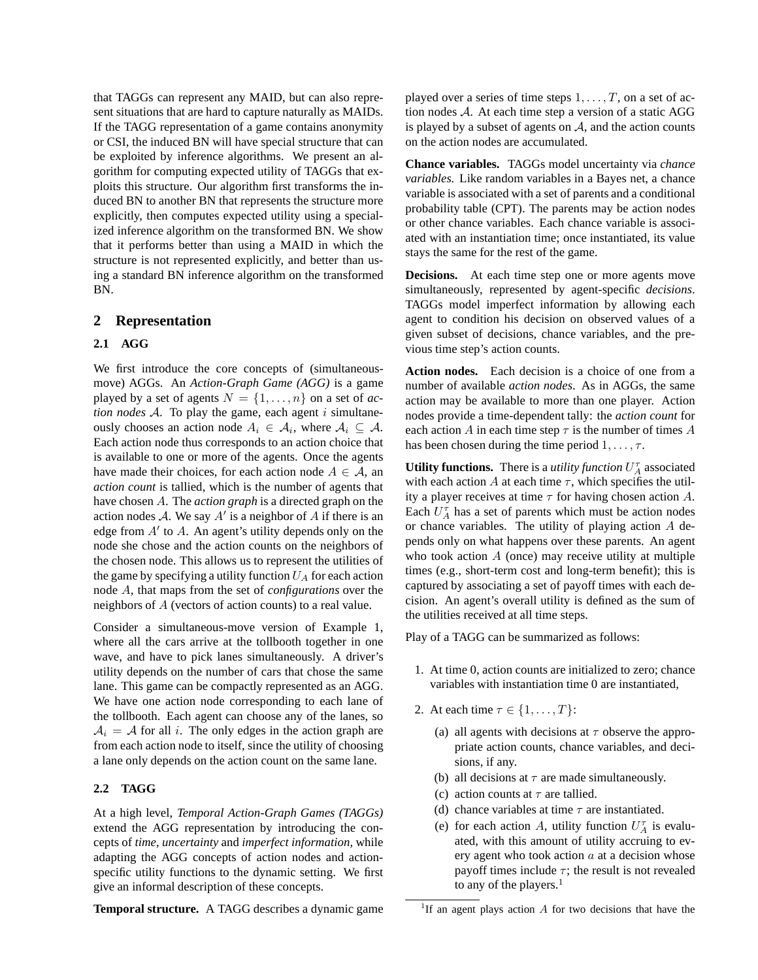that TAGGs can represent any MAID, but can also represent situations that are hard to capture naturally as MAIDs. If the TAGG representation of a game contains anonymity or CSI, the induced BN will have special structure that can be exploited by inference algorithms. We present an algorithm for computing expected utility of TAGGs that exploits this structure. Our algorithm first transforms the induced BN to another BN that represents the structure more explicitly, then computes expected utility using a specialized inference algorithm on the transformed BN. We show that it performs better than using a MAID in which the structure is not represented explicitly, and better than using a standard BN inference algorithm on the transformed BN.

### **2 Representation**

#### **2.1 AGG**

We first introduce the core concepts of (simultaneousmove) AGGs. An *Action-Graph Game (AGG)* is a game played by a set of agents  $N = \{1, \ldots, n\}$  on a set of *action nodes*  $A$ . To play the game, each agent  $i$  simultaneously chooses an action node  $A_i \in \mathcal{A}_i$ , where  $\mathcal{A}_i \subseteq \mathcal{A}$ . Each action node thus corresponds to an action choice that is available to one or more of the agents. Once the agents have made their choices, for each action node  $A \in \mathcal{A}$ , an *action count* is tallied, which is the number of agents that have chosen A. The *action graph* is a directed graph on the action nodes A. We say  $A'$  is a neighbor of A if there is an edge from  $A'$  to  $A$ . An agent's utility depends only on the node she chose and the action counts on the neighbors of the chosen node. This allows us to represent the utilities of the game by specifying a utility function  $U_A$  for each action node A, that maps from the set of *configurations* over the neighbors of A (vectors of action counts) to a real value.

Consider a simultaneous-move version of Example 1, where all the cars arrive at the tollbooth together in one wave, and have to pick lanes simultaneously. A driver's utility depends on the number of cars that chose the same lane. This game can be compactly represented as an AGG. We have one action node corresponding to each lane of the tollbooth. Each agent can choose any of the lanes, so  $A_i = A$  for all i. The only edges in the action graph are from each action node to itself, since the utility of choosing a lane only depends on the action count on the same lane.

### **2.2 TAGG**

At a high level, *Temporal Action-Graph Games (TAGGs)* extend the AGG representation by introducing the concepts of *time*, *uncertainty* and *imperfect information*, while adapting the AGG concepts of action nodes and actionspecific utility functions to the dynamic setting. We first give an informal description of these concepts.

**Temporal structure.** A TAGG describes a dynamic game

played over a series of time steps  $1, \ldots, T$ , on a set of action nodes A. At each time step a version of a static AGG is played by a subset of agents on  $A$ , and the action counts on the action nodes are accumulated.

**Chance variables.** TAGGs model uncertainty via *chance variables.* Like random variables in a Bayes net, a chance variable is associated with a set of parents and a conditional probability table (CPT). The parents may be action nodes or other chance variables. Each chance variable is associated with an instantiation time; once instantiated, its value stays the same for the rest of the game.

**Decisions.** At each time step one or more agents move simultaneously, represented by agent-specific *decisions*. TAGGs model imperfect information by allowing each agent to condition his decision on observed values of a given subset of decisions, chance variables, and the previous time step's action counts.

**Action nodes.** Each decision is a choice of one from a number of available *action nodes*. As in AGGs, the same action may be available to more than one player. Action nodes provide a time-dependent tally: the *action count* for each action A in each time step  $\tau$  is the number of times A has been chosen during the time period  $1, \ldots, \tau$ .

**Utility functions.** There is a *utility function*  $U_A^{\tau}$  associated with each action A at each time  $\tau$ , which specifies the utility a player receives at time  $\tau$  for having chosen action A. Each  $U_A^{\tau}$  has a set of parents which must be action nodes or chance variables. The utility of playing action A depends only on what happens over these parents. An agent who took action  $A$  (once) may receive utility at multiple times (e.g., short-term cost and long-term benefit); this is captured by associating a set of payoff times with each decision. An agent's overall utility is defined as the sum of the utilities received at all time steps.

Play of a TAGG can be summarized as follows:

- 1. At time 0, action counts are initialized to zero; chance variables with instantiation time 0 are instantiated,
- 2. At each time  $\tau \in \{1, \ldots, T\}$ :
	- (a) all agents with decisions at  $\tau$  observe the appropriate action counts, chance variables, and decisions, if any.
	- (b) all decisions at  $\tau$  are made simultaneously.
	- (c) action counts at  $\tau$  are tallied.
	- (d) chance variables at time  $\tau$  are instantiated.
	- (e) for each action A, utility function  $U_A^{\tau}$  is evaluated, with this amount of utility accruing to every agent who took action  $a$  at a decision whose payoff times include  $\tau$ ; the result is not revealed to any of the players. $<sup>1</sup>$ </sup>

<sup>&</sup>lt;sup>1</sup>If an agent plays action  $A$  for two decisions that have the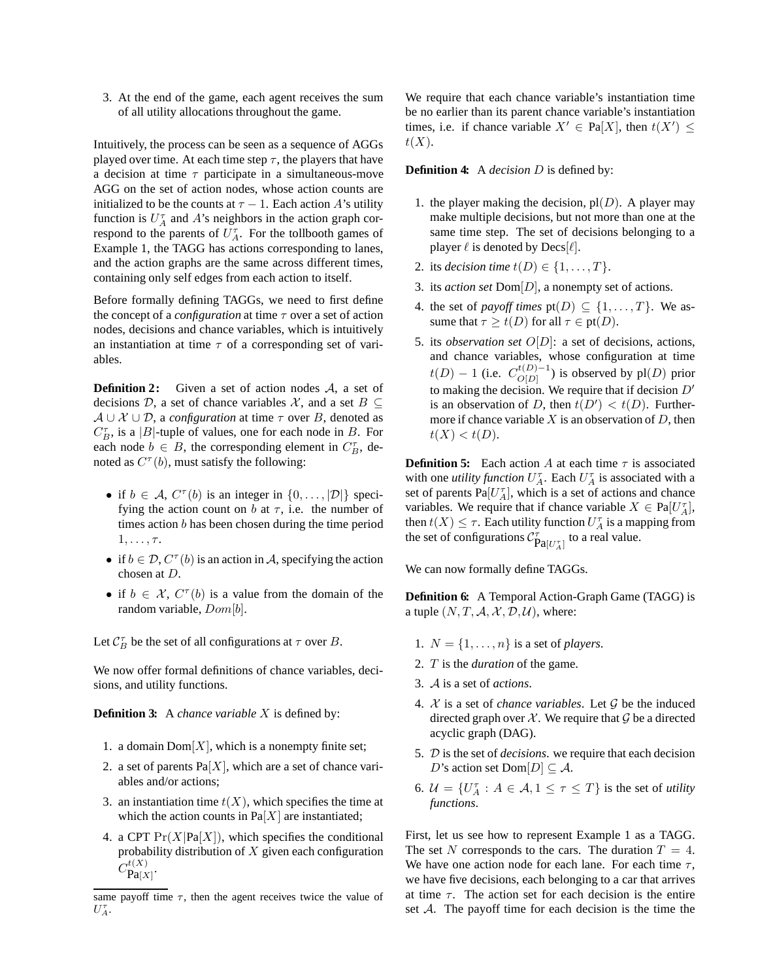3. At the end of the game, each agent receives the sum of all utility allocations throughout the game.

Intuitively, the process can be seen as a sequence of AGGs played over time. At each time step  $\tau$ , the players that have a decision at time  $\tau$  participate in a simultaneous-move AGG on the set of action nodes, whose action counts are initialized to be the counts at  $\tau - 1$ . Each action A's utility function is  $U_A^{\tau}$  and A's neighbors in the action graph correspond to the parents of  $U_A^{\tau}$ . For the tollbooth games of Example 1, the TAGG has actions corresponding to lanes, and the action graphs are the same across different times, containing only self edges from each action to itself.

Before formally defining TAGGs, we need to first define the concept of a *configuration* at time  $\tau$  over a set of action nodes, decisions and chance variables, which is intuitively an instantiation at time  $\tau$  of a corresponding set of variables.

**Definition 2:** Given a set of action nodes A, a set of decisions D, a set of chance variables X, and a set  $B \subseteq$  $A \cup \mathcal{X} \cup \mathcal{D}$ , a *configuration* at time  $\tau$  over B, denoted as  $C_B^{\tau}$ , is a |B|-tuple of values, one for each node in B. For each node  $b \in B$ , the corresponding element in  $C_B^{\tau}$ , denoted as  $C^{\tau}(b)$ , must satisfy the following:

- if  $b \in A$ ,  $C^{\tau}(b)$  is an integer in  $\{0, \ldots, |\mathcal{D}|\}$  specifying the action count on b at  $\tau$ , i.e. the number of times action b has been chosen during the time period  $1, \ldots, \tau$ .
- if  $b \in \mathcal{D}$ ,  $C^{\tau}(b)$  is an action in A, specifying the action chosen at D.
- if  $b \in \mathcal{X}, C^{\tau}(b)$  is a value from the domain of the random variable,  $Dom[b]$ .

Let  $C_B^{\tau}$  be the set of all configurations at  $\tau$  over B.

We now offer formal definitions of chance variables, decisions, and utility functions.

**Definition 3:** A *chance variable* X is defined by:

- 1. a domain  $Dom[X]$ , which is a nonempty finite set;
- 2. a set of parents  $Pa[X]$ , which are a set of chance variables and/or actions;
- 3. an instantiation time  $t(X)$ , which specifies the time at which the action counts in  $Pa[X]$  are instantiated;
- 4. a CPT  $Pr(X|Pa[X])$ , which specifies the conditional probability distribution of  $X$  given each configuration  $C_{\mathbf{Pa}[X]}^{t(X)}.$

We require that each chance variable's instantiation time be no earlier than its parent chance variable's instantiation times, i.e. if chance variable  $X' \in Pa[X]$ , then  $t(X') \leq$  $t(X).$ 

#### **Definition 4:** A *decision* D is defined by:

- 1. the player making the decision,  $pl(D)$ . A player may make multiple decisions, but not more than one at the same time step. The set of decisions belonging to a player  $\ell$  is denoted by  $\text{Decs}[\ell]$ .
- 2. its *decision time*  $t(D) \in \{1, \ldots, T\}$ .
- 3. its *action set* Dom[D], a nonempty set of actions.
- 4. the set of *payoff times*  $pt(D) \subseteq \{1, ..., T\}$ . We assume that  $\tau \geq t(D)$  for all  $\tau \in pt(D)$ .
- 5. its *observation set* O[D]: a set of decisions, actions, and chance variables, whose configuration at time  $t(D) - 1$  (i.e.  $C_{O[D]}^{t(D)-1}$  $O[D]$  is observed by pl(D) prior to making the decision. We require that if decision  $D'$ is an observation of D, then  $t(D') < t(D)$ . Furthermore if chance variable  $X$  is an observation of  $D$ , then  $t(X) < t(D).$

**Definition 5:** Each action A at each time  $\tau$  is associated with one *utility function*  $U_A^{\tau}$ . Each  $U_A^{\tau}$  is associated with a set of parents  $Pa[U_A^{\tau}]$ , which is a set of actions and chance variables. We require that if chance variable  $X \in \text{Pa}[U_A^{\tau}],$ then  $t(X) \leq \tau$ . Each utility function  $U_A^{\tau}$  is a mapping from the set of configurations  $\mathcal{C}_{\text{Pa}[U_A^\tau]}^{\tau}$  to a real value.

We can now formally define TAGGs.

**Definition 6:** A Temporal Action-Graph Game (TAGG) is a tuple  $(N, T, A, \mathcal{X}, \mathcal{D}, \mathcal{U})$ , where:

- 1.  $N = \{1, \ldots, n\}$  is a set of *players*.
- 2. T is the *duration* of the game.
- 3. A is a set of *actions*.
- 4.  $X$  is a set of *chance variables*. Let  $G$  be the induced directed graph over  $X$ . We require that  $G$  be a directed acyclic graph (DAG).
- 5. D is the set of *decisions*. we require that each decision D's action set Dom $[D] \subseteq \mathcal{A}$ .
- 6.  $\mathcal{U} = \{U_A^{\tau} : A \in \mathcal{A}, 1 \leq \tau \leq T\}$  is the set of *utility functions*.

First, let us see how to represent Example 1 as a TAGG. The set N corresponds to the cars. The duration  $T = 4$ . We have one action node for each lane. For each time  $\tau$ , we have five decisions, each belonging to a car that arrives at time  $\tau$ . The action set for each decision is the entire set  $A$ . The payoff time for each decision is the time the

same payoff time  $\tau$ , then the agent receives twice the value of  $U_A^{\tau}$ .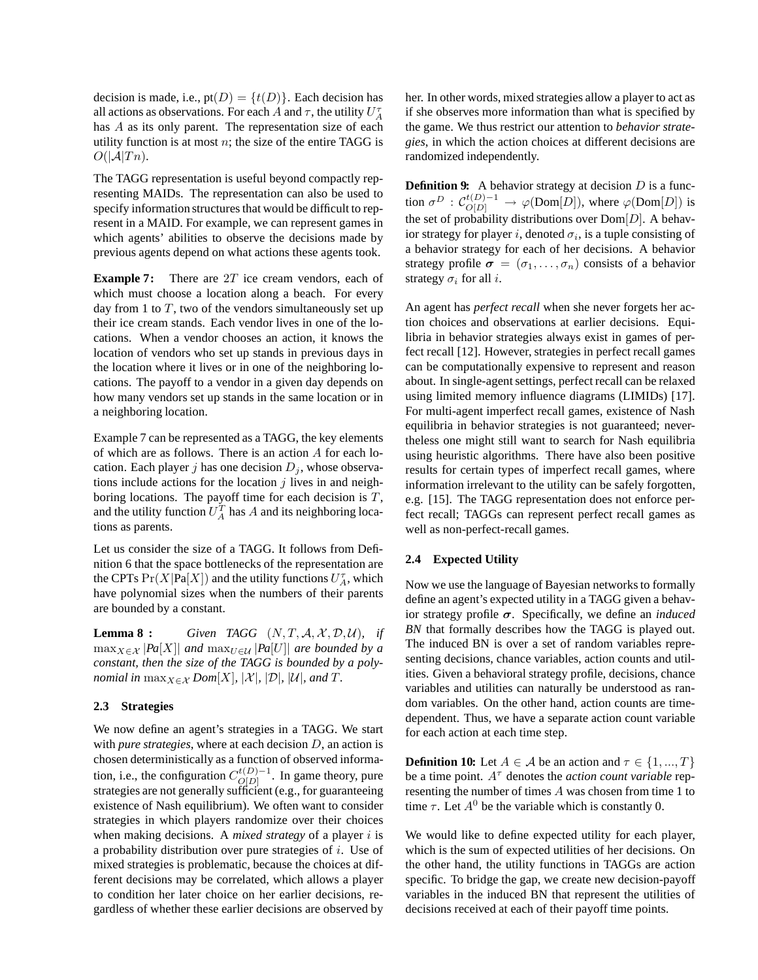decision is made, i.e.,  $pt(D) = \{t(D)\}\.$  Each decision has all actions as observations. For each A and  $\tau$ , the utility  $U_A^{\tau}$ has A as its only parent. The representation size of each utility function is at most  $n$ ; the size of the entire TAGG is  $O(|\mathcal{A}|T_n)$ .

The TAGG representation is useful beyond compactly representing MAIDs. The representation can also be used to specify information structures that would be difficult to represent in a MAID. For example, we can represent games in which agents' abilities to observe the decisions made by previous agents depend on what actions these agents took.

**Example 7:** There are 2T ice cream vendors, each of which must choose a location along a beach. For every day from 1 to  $T$ , two of the vendors simultaneously set up their ice cream stands. Each vendor lives in one of the locations. When a vendor chooses an action, it knows the location of vendors who set up stands in previous days in the location where it lives or in one of the neighboring locations. The payoff to a vendor in a given day depends on how many vendors set up stands in the same location or in a neighboring location.

Example 7 can be represented as a TAGG, the key elements of which are as follows. There is an action A for each location. Each player j has one decision  $D_j$ , whose observations include actions for the location  $j$  lives in and neighboring locations. The payoff time for each decision is  $T$ , and the utility function  $U_A^T$  has A and its neighboring locations as parents.

Let us consider the size of a TAGG. It follows from Definition 6 that the space bottlenecks of the representation are the CPTs  $Pr(X|Pa[X])$  and the utility functions  $U_A^{\tau}$ , which have polynomial sizes when the numbers of their parents are bounded by a constant.

**Lemma 8 :** *Given TAGG*  $(N, T, A, \mathcal{X}, \mathcal{D}, \mathcal{U})$ *, if*  $\max_{X \in \mathcal{X}} |Pa[X]|$  *and*  $\max_{U \in \mathcal{U}} |Pa[U]|$  *are bounded by a constant, then the size of the TAGG is bounded by a polynomial in*  $\max_{X \in \mathcal{X}}$  *Dom*[X],  $|\mathcal{X}|$ ,  $|\mathcal{D}|$ ,  $|\mathcal{U}|$ , and T.

#### **2.3 Strategies**

We now define an agent's strategies in a TAGG. We start with *pure strategies*, where at each decision D, an action is chosen deterministically as a function of observed information, i.e., the configuration  $C_{O[D]}^{t(D)-1}$  $O[D]$ . In game theory, pure strategies are not generally sufficient (e.g., for guaranteeing existence of Nash equilibrium). We often want to consider strategies in which players randomize over their choices when making decisions. A *mixed strategy* of a player *i* is a probability distribution over pure strategies of i. Use of mixed strategies is problematic, because the choices at different decisions may be correlated, which allows a player to condition her later choice on her earlier decisions, regardless of whether these earlier decisions are observed by her. In other words, mixed strategies allow a player to act as if she observes more information than what is specified by the game. We thus restrict our attention to *behavior strategies*, in which the action choices at different decisions are randomized independently.

**Definition 9:** A behavior strategy at decision  $D$  is a function  $\sigma^D$  :  $\mathcal{C}_{O[D]}^{t(D)-1} \to \varphi(\text{Dom}[D]),$  where  $\varphi(\text{Dom}[D])$  is the set of probability distributions over  $Dom[D]$ . A behavior strategy for player i, denoted  $\sigma_i$ , is a tuple consisting of a behavior strategy for each of her decisions. A behavior strategy profile  $\sigma = (\sigma_1, \ldots, \sigma_n)$  consists of a behavior strategy  $\sigma_i$  for all *i*.

An agent has *perfect recall* when she never forgets her action choices and observations at earlier decisions. Equilibria in behavior strategies always exist in games of perfect recall [12]. However, strategies in perfect recall games can be computationally expensive to represent and reason about. In single-agent settings, perfect recall can be relaxed using limited memory influence diagrams (LIMIDs) [17]. For multi-agent imperfect recall games, existence of Nash equilibria in behavior strategies is not guaranteed; nevertheless one might still want to search for Nash equilibria using heuristic algorithms. There have also been positive results for certain types of imperfect recall games, where information irrelevant to the utility can be safely forgotten, e.g. [15]. The TAGG representation does not enforce perfect recall; TAGGs can represent perfect recall games as well as non-perfect-recall games.

#### **2.4 Expected Utility**

Now we use the language of Bayesian networks to formally define an agent's expected utility in a TAGG given a behavior strategy profile σ. Specifically, we define an *induced BN* that formally describes how the TAGG is played out. The induced BN is over a set of random variables representing decisions, chance variables, action counts and utilities. Given a behavioral strategy profile, decisions, chance variables and utilities can naturally be understood as random variables. On the other hand, action counts are timedependent. Thus, we have a separate action count variable for each action at each time step.

**Definition 10:** Let  $A \in \mathcal{A}$  be an action and  $\tau \in \{1, ..., T\}$ be a time point.  $A^{\tau}$  denotes the *action count variable* representing the number of times A was chosen from time 1 to time  $\tau$ . Let  $A^0$  be the variable which is constantly 0.

We would like to define expected utility for each player, which is the sum of expected utilities of her decisions. On the other hand, the utility functions in TAGGs are action specific. To bridge the gap, we create new decision-payoff variables in the induced BN that represent the utilities of decisions received at each of their payoff time points.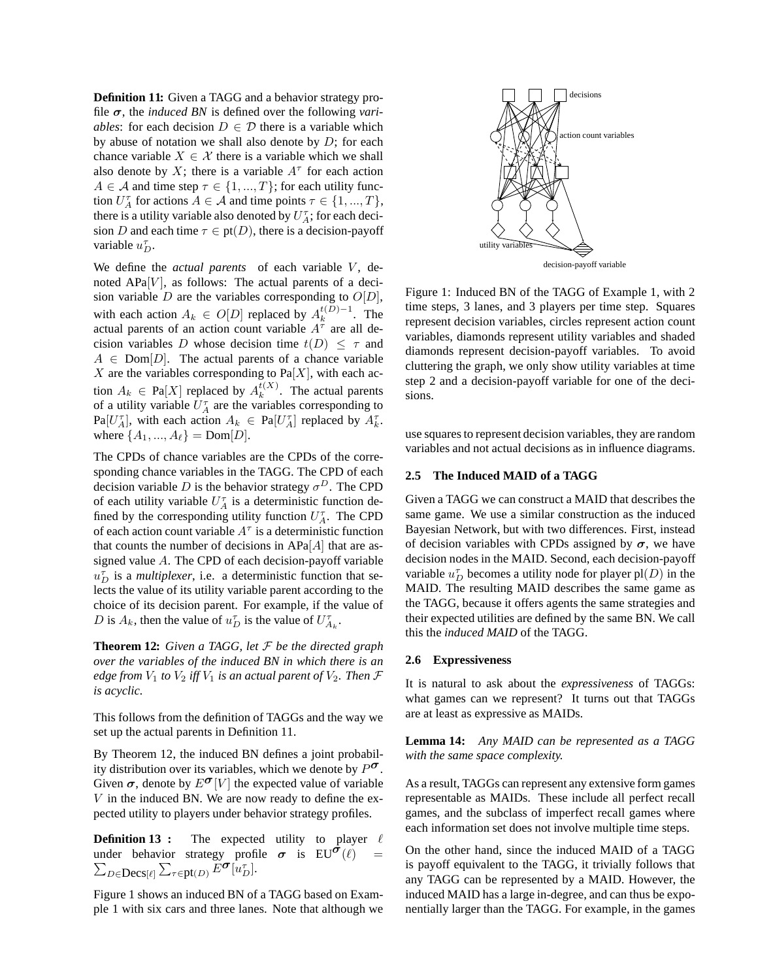**Definition 11:** Given a TAGG and a behavior strategy profile  $\sigma$ , the *induced BN* is defined over the following *variables*: for each decision  $D \in \mathcal{D}$  there is a variable which by abuse of notation we shall also denote by  $D$ ; for each chance variable  $X \in \mathcal{X}$  there is a variable which we shall also denote by X; there is a variable  $A^{\tau}$  for each action  $A \in \mathcal{A}$  and time step  $\tau \in \{1, ..., T\}$ ; for each utility function  $U_A^{\tau}$  for actions  $A \in \mathcal{A}$  and time points  $\tau \in \{1, ..., T\},$ there is a utility variable also denoted by  $U_A^{\tau}$ ; for each decision D and each time  $\tau \in pt(D)$ , there is a decision-payoff variable  $u_D^{\tau}$ .

We define the *actual parents* of each variable V, denoted  $APa[V]$ , as follows: The actual parents of a decision variable D are the variables corresponding to  $O[D]$ , with each action  $A_k \in O[D]$  replaced by  $A_k^{t(D)-1}$ . The actual parents of an action count variable  $A^{\tau}$  are all decision variables D whose decision time  $t(D) \leq \tau$  and  $A \in \text{Dom}[D]$ . The actual parents of a chance variable  $X$  are the variables corresponding to Pa[X], with each action  $A_k \in \text{Pa}[X]$  replaced by  $A_k^{t(X)}$ . The actual parents of a utility variable  $U_A^{\tau}$  are the variables corresponding to  $\text{Pa}[U_A^{\tau}],$  with each action  $A_k \in \text{Pa}[U_A^{\tau}]$  replaced by  $A_k^{\tau}.$ where  $\{A_1, ..., A_\ell\} = \text{Dom}[D].$ 

The CPDs of chance variables are the CPDs of the corresponding chance variables in the TAGG. The CPD of each decision variable D is the behavior strategy  $\sigma^D$ . The CPD of each utility variable  $U_A^{\tau}$  is a deterministic function defined by the corresponding utility function  $U_A^{\tau}$ . The CPD of each action count variable  $A^{\tau}$  is a deterministic function that counts the number of decisions in  $APa[A]$  that are assigned value A. The CPD of each decision-payoff variable  $u_D^{\tau}$  is a *multiplexer*, i.e. a deterministic function that selects the value of its utility variable parent according to the choice of its decision parent. For example, if the value of D is  $A_k$ , then the value of  $u_D^{\tau}$  is the value of  $U_{A_k}^{\tau}$ .

**Theorem 12:** *Given a TAGG, let* F *be the directed graph over the variables of the induced BN in which there is an edge from*  $V_1$  *to*  $V_2$  *iff*  $V_1$  *is an actual parent of*  $V_2$ *. Then*  $\mathcal F$ *is acyclic.*

This follows from the definition of TAGGs and the way we set up the actual parents in Definition 11.

By Theorem 12, the induced BN defines a joint probabilby Theorem 12, the matted BN defines a joint product.<br>ity distribution over its variables, which we denote by  $P^{\sigma}$ . Given  $\sigma$ , denote by  $E^{\sigma}[V]$  the expected value of variable  $V$  in the induced BN. We are now ready to define the expected utility to players under behavior strategy profiles.

**Definition 13 :** The expected utility to player  $\ell$ **Definition 15** The expected dring to player to<br>under behavior strategy profile  $\sigma$  is  $EU^{\sigma}(\ell)$  =  $\sum_{D \in \text{Decs}[\ell]} \sum_{\tau \in \text{pt}(D)} E^{\sigma}[u_D^{\tau}].$ 

Figure 1 shows an induced BN of a TAGG based on Example 1 with six cars and three lanes. Note that although we



Figure 1: Induced BN of the TAGG of Example 1, with 2 time steps, 3 lanes, and 3 players per time step. Squares represent decision variables, circles represent action count variables, diamonds represent utility variables and shaded diamonds represent decision-payoff variables. To avoid cluttering the graph, we only show utility variables at time step 2 and a decision-payoff variable for one of the decisions.

use squares to represent decision variables, they are random variables and not actual decisions as in influence diagrams.

#### **2.5 The Induced MAID of a TAGG**

Given a TAGG we can construct a MAID that describes the same game. We use a similar construction as the induced Bayesian Network, but with two differences. First, instead of decision variables with CPDs assigned by  $\sigma$ , we have decision nodes in the MAID. Second, each decision-payoff variable  $u_D^{\tau}$  becomes a utility node for player  $pl(D)$  in the MAID. The resulting MAID describes the same game as the TAGG, because it offers agents the same strategies and their expected utilities are defined by the same BN. We call this the *induced MAID* of the TAGG.

#### **2.6 Expressiveness**

It is natural to ask about the *expressiveness* of TAGGs: what games can we represent? It turns out that TAGGs are at least as expressive as MAIDs.

**Lemma 14:** *Any MAID can be represented as a TAGG with the same space complexity.*

As a result, TAGGs can represent any extensive form games representable as MAIDs. These include all perfect recall games, and the subclass of imperfect recall games where each information set does not involve multiple time steps.

On the other hand, since the induced MAID of a TAGG is payoff equivalent to the TAGG, it trivially follows that any TAGG can be represented by a MAID. However, the induced MAID has a large in-degree, and can thus be exponentially larger than the TAGG. For example, in the games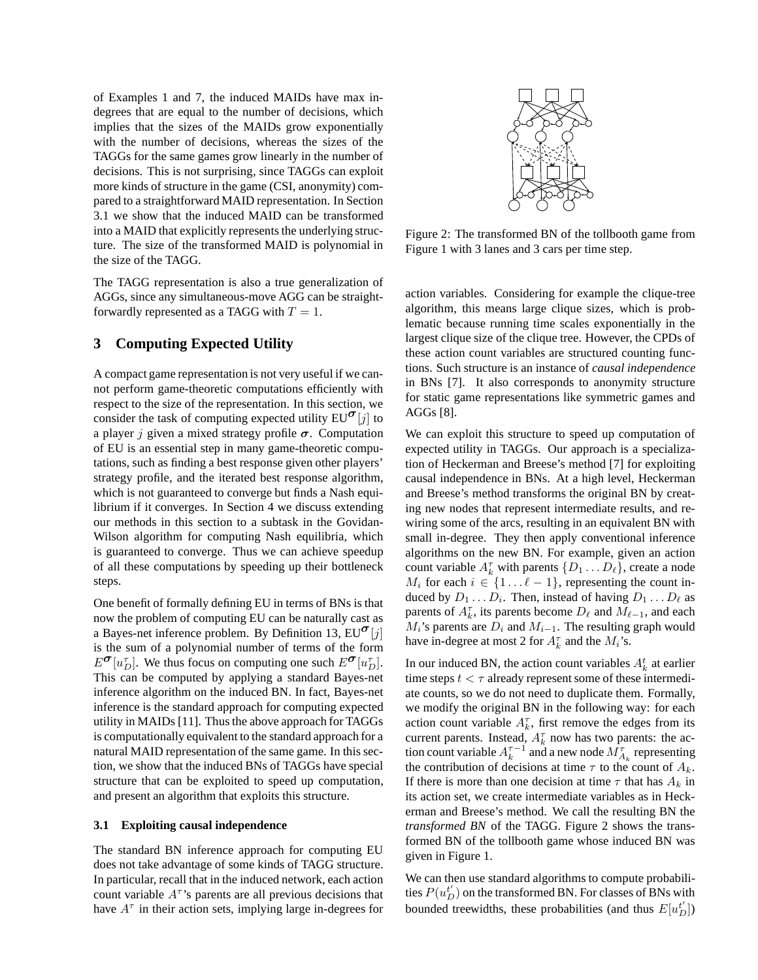of Examples 1 and 7, the induced MAIDs have max indegrees that are equal to the number of decisions, which implies that the sizes of the MAIDs grow exponentially with the number of decisions, whereas the sizes of the TAGGs for the same games grow linearly in the number of decisions. This is not surprising, since TAGGs can exploit more kinds of structure in the game (CSI, anonymity) compared to a straightforward MAID representation. In Section 3.1 we show that the induced MAID can be transformed into a MAID that explicitly represents the underlying structure. The size of the transformed MAID is polynomial in the size of the TAGG.

The TAGG representation is also a true generalization of AGGs, since any simultaneous-move AGG can be straightforwardly represented as a TAGG with  $T = 1$ .

# **3 Computing Expected Utility**

A compact game representation is not very useful if we cannot perform game-theoretic computations efficiently with respect to the size of the representation. In this section, we consider the task of computing expected utility  $EU^{\sigma}[j]$  to a player j given a mixed strategy profile  $\sigma$ . Computation of EU is an essential step in many game-theoretic computations, such as finding a best response given other players' strategy profile, and the iterated best response algorithm, which is not guaranteed to converge but finds a Nash equilibrium if it converges. In Section 4 we discuss extending our methods in this section to a subtask in the Govidan-Wilson algorithm for computing Nash equilibria, which is guaranteed to converge. Thus we can achieve speedup of all these computations by speeding up their bottleneck steps.

One benefit of formally defining EU in terms of BNs is that now the problem of computing EU can be naturally cast as a Bayes-net inference problem. By Definition 13,  $EU^{\sigma}[j]$ is the sum of a polynomial number of terms of the form  $E^{\sigma}[u_{D}^{\tau}]$ . We thus focus on computing one such  $E^{\sigma}[u_{D}^{\tau}]$ . This can be computed by applying a standard Bayes-net inference algorithm on the induced BN. In fact, Bayes-net inference is the standard approach for computing expected utility in MAIDs [11]. Thus the above approach for TAGGs is computationally equivalent to the standard approach for a natural MAID representation of the same game. In this section, we show that the induced BNs of TAGGs have special structure that can be exploited to speed up computation, and present an algorithm that exploits this structure.

### **3.1 Exploiting causal independence**

The standard BN inference approach for computing EU does not take advantage of some kinds of TAGG structure. In particular, recall that in the induced network, each action count variable  $A^{\tau}$ 's parents are all previous decisions that have  $A^{\tau}$  in their action sets, implying large in-degrees for



Figure 2: The transformed BN of the tollbooth game from Figure 1 with 3 lanes and 3 cars per time step.

action variables. Considering for example the clique-tree algorithm, this means large clique sizes, which is problematic because running time scales exponentially in the largest clique size of the clique tree. However, the CPDs of these action count variables are structured counting functions. Such structure is an instance of *causal independence* in BNs [7]. It also corresponds to anonymity structure for static game representations like symmetric games and AGGs [8].

We can exploit this structure to speed up computation of expected utility in TAGGs. Our approach is a specialization of Heckerman and Breese's method [7] for exploiting causal independence in BNs. At a high level, Heckerman and Breese's method transforms the original BN by creating new nodes that represent intermediate results, and rewiring some of the arcs, resulting in an equivalent BN with small in-degree. They then apply conventional inference algorithms on the new BN. For example, given an action count variable  $A_k^{\tau}$  with parents  $\{D_1 \dots D_{\ell}\}\)$ , create a node  $M_i$  for each  $i \in \{1 \dots \ell - 1\}$ , representing the count induced by  $D_1 \dots D_i$ . Then, instead of having  $D_1 \dots D_\ell$  as parents of  $A_k^{\tau}$ , its parents become  $D_{\ell}$  and  $M_{\ell-1}$ , and each  $M_i$ 's parents are  $D_i$  and  $M_{i-1}$ . The resulting graph would have in-degree at most 2 for  $A_k^{\tau}$  and the  $M_i$ 's.

In our induced BN, the action count variables  $A_k^t$  at earlier time steps  $t < \tau$  already represent some of these intermediate counts, so we do not need to duplicate them. Formally, we modify the original BN in the following way: for each action count variable  $A_k^{\tau}$ , first remove the edges from its current parents. Instead,  $A_k^{\tau}$  now has two parents: the action count variable  $A_k^{\tau-1}$  and a new node  $\overline{M}_{A_k}^{\tau}$  representing the contribution of decisions at time  $\tau$  to the count of  $A_k$ . If there is more than one decision at time  $\tau$  that has  $A_k$  in its action set, we create intermediate variables as in Heckerman and Breese's method. We call the resulting BN the *transformed BN* of the TAGG. Figure 2 shows the transformed BN of the tollbooth game whose induced BN was given in Figure 1.

We can then use standard algorithms to compute probabilities  $P(u_D^{t'})$  on the transformed BN. For classes of BNs with bounded treewidths, these probabilities (and thus  $E[u_D^t]$ )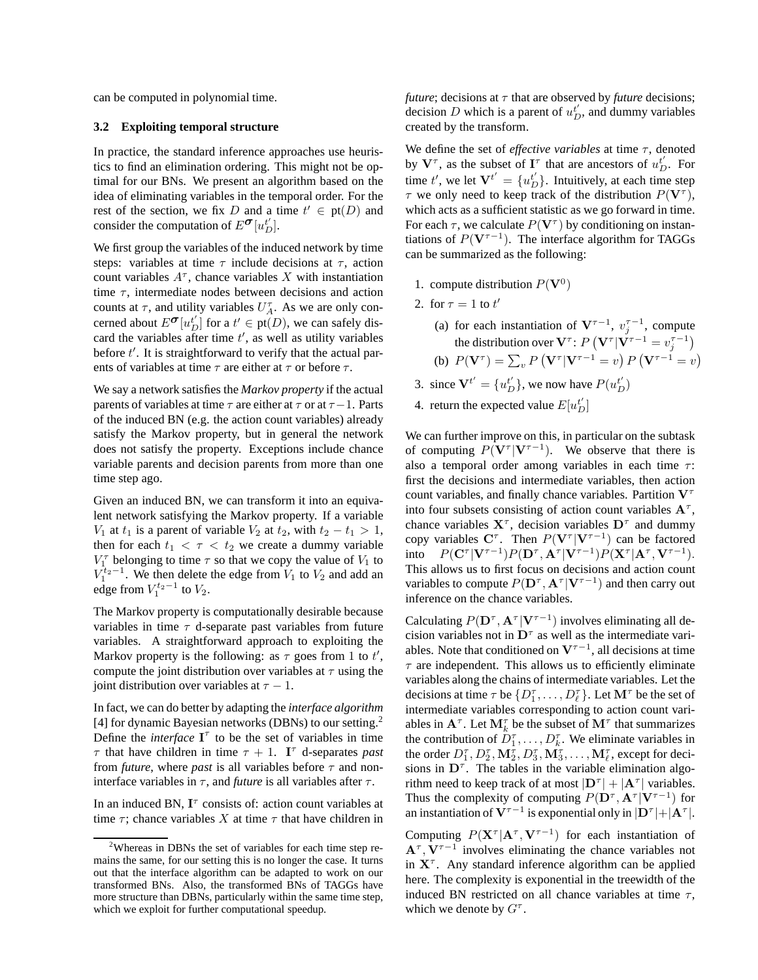can be computed in polynomial time.

#### **3.2 Exploiting temporal structure**

In practice, the standard inference approaches use heuristics to find an elimination ordering. This might not be optimal for our BNs. We present an algorithm based on the idea of eliminating variables in the temporal order. For the rest of the section, we fix D and a time  $t' \in pt(D)$  and consider the computation of  $E^{\sigma}[u_{D}^{t}].$ 

We first group the variables of the induced network by time steps: variables at time  $\tau$  include decisions at  $\tau$ , action count variables  $A^{\tau}$ , chance variables X with instantiation time  $\tau$ , intermediate nodes between decisions and action counts at  $\tau$ , and utility variables  $U_A^{\tau}$ . As we are only concerned about  $E^{\sigma}[u'_{D}]$  for a  $t' \in pt(D)$ , we can safely discard the variables after time  $t'$ , as well as utility variables before t'. It is straightforward to verify that the actual parents of variables at time  $\tau$  are either at  $\tau$  or before  $\tau$ .

We say a network satisfies the *Markov property* if the actual parents of variables at time  $\tau$  are either at  $\tau$  or at  $\tau-1$ . Parts of the induced BN (e.g. the action count variables) already satisfy the Markov property, but in general the network does not satisfy the property. Exceptions include chance variable parents and decision parents from more than one time step ago.

Given an induced BN, we can transform it into an equivalent network satisfying the Markov property. If a variable  $V_1$  at  $t_1$  is a parent of variable  $V_2$  at  $t_2$ , with  $t_2 - t_1 > 1$ , then for each  $t_1 < \tau < t_2$  we create a dummy variable  $V_1^{\tau}$  belonging to time  $\tau$  so that we copy the value of  $V_1$  to  $V_1^{t_2-1}$ . We then delete the edge from  $V_1$  to  $V_2$  and add an edge from  $V_1^{t_2-1}$  to  $V_2$ .

The Markov property is computationally desirable because variables in time  $\tau$  d-separate past variables from future variables. A straightforward approach to exploiting the Markov property is the following: as  $\tau$  goes from 1 to  $t'$ , compute the joint distribution over variables at  $\tau$  using the joint distribution over variables at  $\tau - 1$ .

In fact, we can do better by adapting the *interface algorithm* [4] for dynamic Bayesian networks (DBNs) to our setting.<sup>2</sup> Define the *interface*  $I^{\tau}$  to be the set of variables in time  $\tau$  that have children in time  $\tau + 1$ . I<sup> $\tau$ </sup> d-separates *past* from *future*, where *past* is all variables before  $\tau$  and noninterface variables in  $\tau$ , and *future* is all variables after  $\tau$ .

In an induced BN,  $I^{\tau}$  consists of: action count variables at time  $\tau$ ; chance variables X at time  $\tau$  that have children in *future*; decisions at  $\tau$  that are observed by *future* decisions; decision D which is a parent of  $u_D^{t'}$ , and dummy variables created by the transform.

We define the set of *effective variables* at time τ, denoted by  $V^{\tau}$ , as the subset of  $I^{\tau}$  that are ancestors of  $u_D^{t'}$ . For time t', we let  $V^{t'} = \{u_D^{t'}\}$ . Intuitively, at each time step  $\tau$  we only need to keep track of the distribution  $P(\mathbf{V}^{\tau})$ , which acts as a sufficient statistic as we go forward in time. For each  $\tau$ , we calculate  $P(\mathbf{V}^{\tau})$  by conditioning on instantiations of  $P(\mathbf{V}^{\tau-1})$ . The interface algorithm for TAGGs can be summarized as the following:

- 1. compute distribution  $P(\mathbf{V}^0)$
- 2. for  $\tau = 1$  to  $t'$ 
	- (a) for each instantiation of  $V^{\tau-1}$ ,  $v_j^{\tau-1}$ , compute the distribution over  $\mathbf{V}^{\tau}$ :  $P\left(\mathbf{V}^{\tau} | \mathbf{V}^{\tau-1} = v_j^{\tau-1}\right)$ (b)  $P(\mathbf{V}^{\tau}) = \sum_{v} P(\mathbf{V}^{\tau} | \mathbf{V}^{\tau-1} = v) P(\mathbf{V}^{\tau-1} = v)$
- 3. since  $V^{t'} = \{u_D^{t'}\}$ , we now have  $P(u_D^{t'})$
- 4. return the expected value  $E[u_D^t]$

We can further improve on this, in particular on the subtask of computing  $P(\mathbf{V}^\tau | \mathbf{V}^{\tau-1})$ . We observe that there is also a temporal order among variables in each time  $\tau$ : first the decisions and intermediate variables, then action count variables, and finally chance variables. Partition  $V^{\tau}$ into four subsets consisting of action count variables  $A^{\tau}$ , chance variables  $X^{\tau}$ , decision variables  $D^{\tau}$  and dummy copy variables  $C^{\tau}$ . Then  $P(V^{\tau}|V^{\tau-1})$  can be factored into  $P(\mathbf{C}^\tau | \mathbf{V}^{\tau-1}) P(\mathbf{D}^\tau, \mathbf{A}^\tau | \mathbf{V}^{\tau-1}) P(\mathbf{X}^\tau | \mathbf{A}^\tau, \mathbf{V}^{\tau-1}).$ This allows us to first focus on decisions and action count variables to compute  $P(\mathbf{D}^{\tau}, \mathbf{A}^{\tau}|\mathbf{V}^{\tau-1})$  and then carry out inference on the chance variables.

Calculating  $P(\mathbf{D}^{\tau}, \mathbf{A}^{\tau} | \mathbf{V}^{\tau-1})$  involves eliminating all decision variables not in  $D^{\tau}$  as well as the intermediate variables. Note that conditioned on  $V^{\tau-1}$ , all decisions at time  $\tau$  are independent. This allows us to efficiently eliminate variables along the chains of intermediate variables. Let the decisions at time  $\tau$  be  $\{D_1^{\tau}, \ldots, D_{\ell}^{\tau}\}\$ . Let  $\mathbf{M}^{\tau}$  be the set of intermediate variables corresponding to action count variables in  $A^{\tau}$ . Let  $M_k^{\tau}$  be the subset of  $M^{\tau}$  that summarizes the contribution of  $D_1^{\tau}, \ldots, D_k^{\tau}$ . We eliminate variables in the order  $D_1^{\tau}, D_2^{\tau}, \mathbf{M}_2^{\tau}, D_3^{\tau}, \mathbf{M}_3^{\tau}, \dots, \mathbf{M}_{\ell}^{\tau}$ , except for decisions in  $D^{\tau}$ . The tables in the variable elimination algorithm need to keep track of at most  $|\mathbf{D}^{\tau}| + |\mathbf{A}^{\tau}|$  variables. Thus the complexity of computing  $P(\mathbf{D}^{\tau}, \mathbf{A}^{\tau} | \mathbf{V}^{\tau-1})$  for an instantiation of  $V^{\tau-1}$  is exponential only in  $|D^{\tau}|+|A^{\tau}|$ .

Computing  $P(\mathbf{X}^{\tau}|\mathbf{A}^{\tau}, \mathbf{V}^{\tau-1})$  for each instantiation of  $A^{\tau}, \dot{V}^{\tau-1}$  involves eliminating the chance variables not in  $X^{\tau}$ . Any standard inference algorithm can be applied here. The complexity is exponential in the treewidth of the induced BN restricted on all chance variables at time  $\tau$ , which we denote by  $G^{\tau}$ .

<sup>&</sup>lt;sup>2</sup>Whereas in DBNs the set of variables for each time step remains the same, for our setting this is no longer the case. It turns out that the interface algorithm can be adapted to work on our transformed BNs. Also, the transformed BNs of TAGGs have more structure than DBNs, particularly within the same time step, which we exploit for further computational speedup.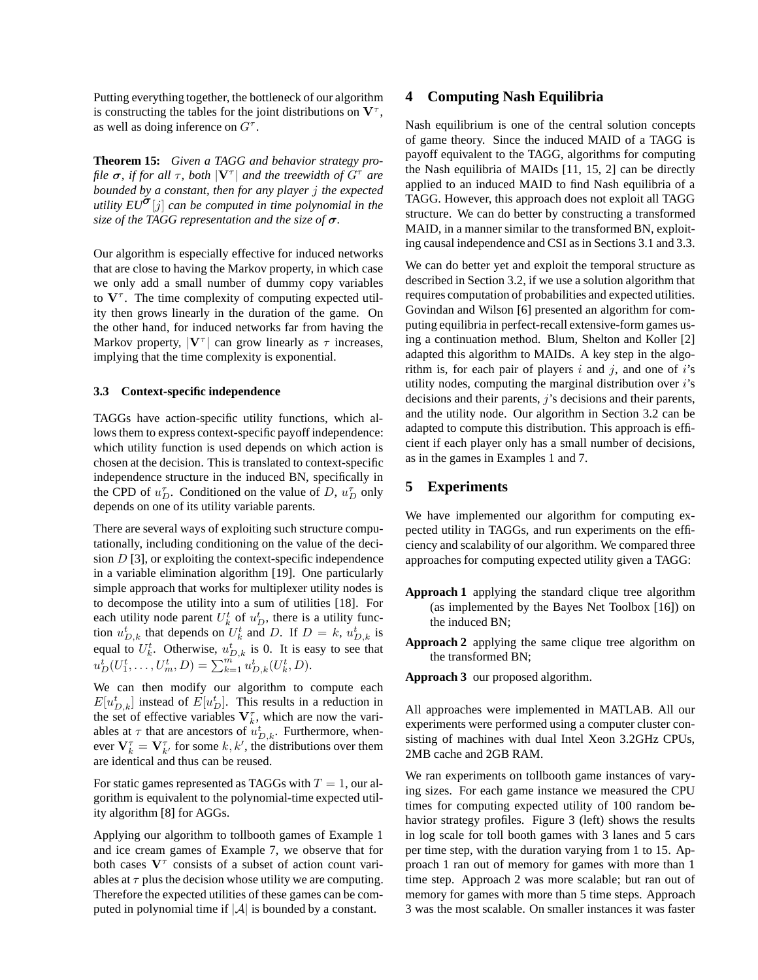Putting everything together, the bottleneck of our algorithm is constructing the tables for the joint distributions on  $V^{\tau}$ , as well as doing inference on  $G^{\tau}$ .

**Theorem 15:** *Given a TAGG and behavior strategy profile*  $\sigma$ *, if for all*  $\tau$ *, both*  $|\mathbf{V}^{\tau}|$  *and the treewidth of*  $G^{\tau}$  *are bounded by a constant, then for any player* j *the expected utility*  $EU^{\sigma}[j]$  *can be computed in time polynomial in the size of the TAGG representation and the size of* σ*.*

Our algorithm is especially effective for induced networks that are close to having the Markov property, in which case we only add a small number of dummy copy variables to  $V^{\tau}$ . The time complexity of computing expected utility then grows linearly in the duration of the game. On the other hand, for induced networks far from having the Markov property,  $|\mathbf{V}^{\tau}|$  can grow linearly as  $\tau$  increases, implying that the time complexity is exponential.

#### **3.3 Context-specific independence**

TAGGs have action-specific utility functions, which allows them to express context-specific payoff independence: which utility function is used depends on which action is chosen at the decision. This is translated to context-specific independence structure in the induced BN, specifically in the CPD of  $u_D^{\tau}$ . Conditioned on the value of D,  $u_D^{\tau}$  only depends on one of its utility variable parents.

There are several ways of exploiting such structure computationally, including conditioning on the value of the decision  $D$  [3], or exploiting the context-specific independence in a variable elimination algorithm [19]. One particularly simple approach that works for multiplexer utility nodes is to decompose the utility into a sum of utilities [18]. For each utility node parent  $U_k^t$  of  $u_D^t$ , there is a utility function  $u_{D,k}^t$  that depends on  $U_k^t$  and D. If  $D = k$ ,  $u_{D,k}^t$  is equal to  $U_k^t$ . Otherwise,  $u_{D,k}^t$  is 0. It is easy to see that  $u_D^t(U_1^t, \ldots, U_m^t, D) = \sum_{k=1}^m u_{D,k}^t(U_k^t, D).$ 

We can then modify our algorithm to compute each  $E[u_{D,k}^t]$  instead of  $E[u_D^t]$ . This results in a reduction in the set of effective variables  $V_k^{\tau}$ , which are now the variables at  $\tau$  that are ancestors of  $u_{D,k}^t$ . Furthermore, whenever  $V_k^{\tau} = V_{k'}^{\tau}$  for some k, k', the distributions over them are identical and thus can be reused.

For static games represented as TAGGs with  $T = 1$ , our algorithm is equivalent to the polynomial-time expected utility algorithm [8] for AGGs.

Applying our algorithm to tollbooth games of Example 1 and ice cream games of Example 7, we observe that for both cases  $V^{\tau}$  consists of a subset of action count variables at  $\tau$  plus the decision whose utility we are computing. Therefore the expected utilities of these games can be computed in polynomial time if  $|\mathcal{A}|$  is bounded by a constant.

### **4 Computing Nash Equilibria**

Nash equilibrium is one of the central solution concepts of game theory. Since the induced MAID of a TAGG is payoff equivalent to the TAGG, algorithms for computing the Nash equilibria of MAIDs [11, 15, 2] can be directly applied to an induced MAID to find Nash equilibria of a TAGG. However, this approach does not exploit all TAGG structure. We can do better by constructing a transformed MAID, in a manner similar to the transformed BN, exploiting causal independence and CSI as in Sections 3.1 and 3.3.

We can do better yet and exploit the temporal structure as described in Section 3.2, if we use a solution algorithm that requires computation of probabilities and expected utilities. Govindan and Wilson [6] presented an algorithm for computing equilibria in perfect-recall extensive-form games using a continuation method. Blum, Shelton and Koller [2] adapted this algorithm to MAIDs. A key step in the algorithm is, for each pair of players  $i$  and  $j$ , and one of  $i$ 's utility nodes, computing the marginal distribution over  $i$ 's decisions and their parents,  $j$ 's decisions and their parents, and the utility node. Our algorithm in Section 3.2 can be adapted to compute this distribution. This approach is efficient if each player only has a small number of decisions, as in the games in Examples 1 and 7.

# **5 Experiments**

We have implemented our algorithm for computing expected utility in TAGGs, and run experiments on the efficiency and scalability of our algorithm. We compared three approaches for computing expected utility given a TAGG:

- **Approach 1** applying the standard clique tree algorithm (as implemented by the Bayes Net Toolbox [16]) on the induced BN;
- **Approach 2** applying the same clique tree algorithm on the transformed BN;

**Approach 3** our proposed algorithm.

All approaches were implemented in MATLAB. All our experiments were performed using a computer cluster consisting of machines with dual Intel Xeon 3.2GHz CPUs, 2MB cache and 2GB RAM.

We ran experiments on tollbooth game instances of varying sizes. For each game instance we measured the CPU times for computing expected utility of 100 random behavior strategy profiles. Figure 3 (left) shows the results in log scale for toll booth games with 3 lanes and 5 cars per time step, with the duration varying from 1 to 15. Approach 1 ran out of memory for games with more than 1 time step. Approach 2 was more scalable; but ran out of memory for games with more than 5 time steps. Approach 3 was the most scalable. On smaller instances it was faster